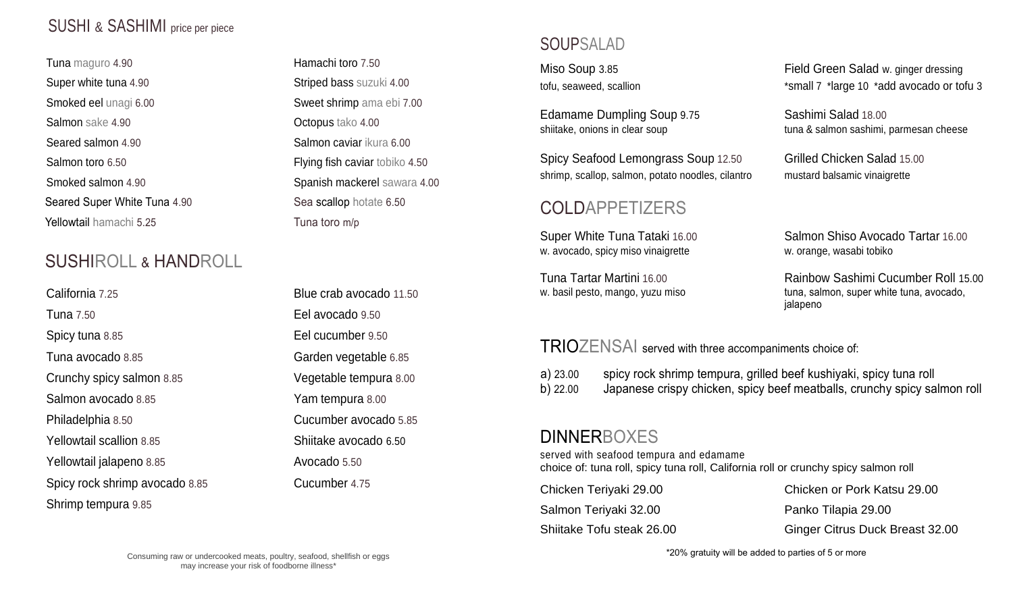## SUSHI & SASHIMI price per piece

Tuna maguro 4.90 **Hamachi toro** 7.50 Super white tuna 4.90 Striped bass suzuki 4.00 Smoked eel unagi 6.00 Sweet shrimp ama ebi 7.00 Salmon sake 4.90 **CEO** COMPOS 1200 **Octopus** tako 4.00 Seared salmon 4.90 Seared salmon caviar ikura 6.00 Salmon toro 6.50 **Salmon** toro 6.50 **Flying fish caviar** tobiko 4.50 Smoked salmon 4.90 Spanish mackerel sawara 4.00 Seared Super White Tuna 4.90 Sea scallop hotate 6.50 **Yellowtail** hamachi 5.25 Tuna toro m/p

## SUSHIROLL & HANDROLL

California 7.25 Blue crab avocado 11.50 Tuna 7.50 Eel avocado 9.50 Spicy tuna 8.85 Eel cucumber 9.50 Tuna avocado 8.85 Garden vegetable 6.85 Crunchy spicy salmon 8.85 Vegetable tempura 8.00 Salmon avocado 8.85 Yam tempura 8.00 Philadelphia 8.50 Cucumber avocado 5.85 Yellowtail scallion 8.85 Shiitake avocado 6.50 Yellowtail jalapeno 8.85 Avocado 5.50 Spicy rock shrimp avocado 8.85 Cucumber 4.75 Shrimp tempura 9.85

### SOUPSALAD

Edamame Dumpling Soup 9.75 Sashimi Salad 18.00

Spicy Seafood Lemongrass Soup 12.50 Grilled Chicken Salad 15.00 shrimp, scallop, salmon, potato noodles, cilantro mustard balsamic vinaigrette

### COLDAPPETIZERS

w. avocado, spicy miso vinaigrette w. orange, wasabi tobiko

Miso Soup 3.85 Field Green Salad w. ginger dressing tofu, seaweed, scallion \*small 7 \*large 10 \*add avocado or tofu 3

shiitake, onions in clear soup tuna & salmon sashimi, parmesan cheese

Super White Tuna Tataki 16.00 Salmon Shiso Avocado Tartar 16.00

Tuna Tartar Martini 16.00 Rainbow Sashimi Cucumber Roll 15.00 w. basil pesto, mango, yuzu miso tuna, salmon, super white tuna, avocado, jalapeno

#### TRIOZENSAI served with three accompaniments choice of:

a) 23.00 spicy rock shrimp tempura, grilled beef kushiyaki, spicy tuna roll b) 22.00 Japanese crispy chicken, spicy beef meatballs, crunchy spicy salmon roll

#### **DINNERBOXES**

served with seafood tempura and edamame choice of: tuna roll, spicy tuna roll, California roll or crunchy spicy salmon roll

Salmon Teriyaki 32.00 Panko Tilapia 29.00

Chicken Teriyaki 29.00 Chicken or Pork Katsu 29.00 Shiitake Tofu steak 26.00 Ginger Citrus Duck Breast 32.00

\*20% gratuity will be added to parties of 5 or more